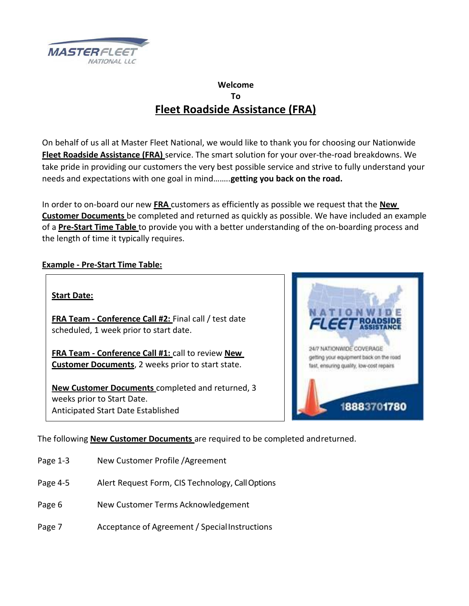

## **Welcome To Fleet Roadside Assistance (FRA)**

On behalf of us all at Master Fleet National, we would like to thank you for choosing our Nationwide Fleet Roadside Assistance (FRA) service. The smart solution for your over-the-road breakdowns. We take pride in providing our customers the very best possible service and strive to fully understand your needs and expectations with one goal in mind……..**getting you back on the road.**

In order to on‐board our new **FRA** customers as efficiently as possible we request that the **New Customer Documents** be completed and returned as quickly as possible. We have included an example of a **Pre‐Start Time Table** to provide you with a better understanding of the on‐boarding process and the length of time it typically requires.

### **Example ‐ Pre‐Start Time Table:**

### **Start Date:**

**FRA Team ‐ Conference Call #2:** Final call / test date scheduled, 1 week prior to start date.

**FRA Team ‐ Conference Call #1:** call to review **New Customer Documents**, 2 weeks prior to start state.

**New Customer Documents** completed and returned, 3 weeks prior to Start Date. Anticipated Start Date Established



The following **New Customer Documents** are required to be completed andreturned.

- Page 1-3 New Customer Profile / Agreement
- Page 4‐5 Alert Request Form, CIS Technology, CallOptions
- Page 6 New Customer Terms Acknowledgement
- Page 7 **Acceptance of Agreement / Special Instructions**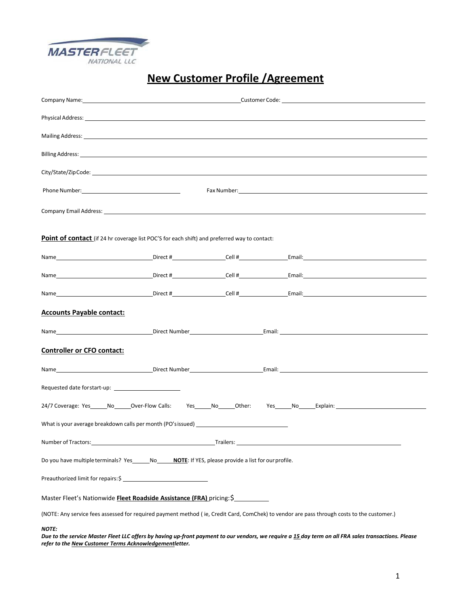

# **New Customer Profile /Agreement**

|                                                                                                                                                                                                                                |  | Company Name: Company Name: Company Name: Company Name: Company Name: Company Name: Company Name: Company Name: Company Name: Company Name: Company Name: Company Name: Company Name: Company Name: Company Name: Company Name |
|--------------------------------------------------------------------------------------------------------------------------------------------------------------------------------------------------------------------------------|--|--------------------------------------------------------------------------------------------------------------------------------------------------------------------------------------------------------------------------------|
| Physical Address: the contract of the contract of the contract of the contract of the contract of the contract of the contract of the contract of the contract of the contract of the contract of the contract of the contract |  |                                                                                                                                                                                                                                |
| Mailing Address: National Accounts of the Contract of the Contract of the Contract of the Contract of the Contract of the Contract of the Contract of the Contract of the Contract of the Contract of the Contract of the Cont |  |                                                                                                                                                                                                                                |
| Billing Address: The Commission of the Commission of the Commission of the Commission of the Commission of the                                                                                                                 |  |                                                                                                                                                                                                                                |
|                                                                                                                                                                                                                                |  |                                                                                                                                                                                                                                |
|                                                                                                                                                                                                                                |  | Fax Number: The Commission of the Commission of the Commission of the Commission of the Commission of the Commission of the Commission of the Commission of the Commission of the Commission of the Commission of the Commissi |
|                                                                                                                                                                                                                                |  | Company Email Address: <u>Company Company Company Company Company Company Company Company Company Company Company</u>                                                                                                          |
|                                                                                                                                                                                                                                |  |                                                                                                                                                                                                                                |
| Point of contact (if 24 hr coverage list POC'S for each shift) and preferred way to contact:                                                                                                                                   |  |                                                                                                                                                                                                                                |
|                                                                                                                                                                                                                                |  | Name Cell # Email: Email: Email: Email: Email: Email: Email: Email: Email: Email: Email: Email: Email: Email: Email: Email: Email: Email: Email: Email: Email: Email: Email: Email: Email: Email: Email: Email: Email: Email:  |
|                                                                                                                                                                                                                                |  | Name Cell # Email: Email: Email: Email: Email: Email: Email: Email: Email: Email: Email: Email: Email: Email: Email: Email: Email: Email: Email: Email: Email: Email: Email: Email: Email: Email: Email: Email: Email: Email:  |
|                                                                                                                                                                                                                                |  | Name Cell # Email: Email: Email: Email: Email: Email: Email: Email: Email: Email: Email: Email: Email: Email: Email: Email: Email: Email: Email: Email: Email: Email: Email: Email: Email: Email: Email: Email: Email: Email:  |
| <b>Accounts Payable contact:</b>                                                                                                                                                                                               |  |                                                                                                                                                                                                                                |
|                                                                                                                                                                                                                                |  |                                                                                                                                                                                                                                |
| <b>Controller or CFO contact:</b>                                                                                                                                                                                              |  |                                                                                                                                                                                                                                |
|                                                                                                                                                                                                                                |  |                                                                                                                                                                                                                                |
|                                                                                                                                                                                                                                |  |                                                                                                                                                                                                                                |
|                                                                                                                                                                                                                                |  |                                                                                                                                                                                                                                |
| What is your average breakdown calls per month (PO's issued) example a series of the series of the series of the series of the series of the series of the series of the series of the series of the series of the series of t |  |                                                                                                                                                                                                                                |
|                                                                                                                                                                                                                                |  | Trailers: Trailers:                                                                                                                                                                                                            |
| Do you have multiple terminals? Yes _______ No ______ NOTE: If YES, please provide a list for our profile.                                                                                                                     |  |                                                                                                                                                                                                                                |
|                                                                                                                                                                                                                                |  |                                                                                                                                                                                                                                |
| Master Fleet's Nationwide Fleet Roadside Assistance (FRA) pricing: \$                                                                                                                                                          |  |                                                                                                                                                                                                                                |
|                                                                                                                                                                                                                                |  | (NOTE: Any service fees assessed for required payment method (ie, Credit Card, ComChek) to vendor are pass through costs to the customer.)                                                                                     |
| <b>NOTE:</b>                                                                                                                                                                                                                   |  |                                                                                                                                                                                                                                |

*Due to the service Master Fleet LLC offers by having up‐front payment to our vendors, we require a 15 day term on all FRA sales transactions. Please refer to the New Customer Terms Acknowledgementletter.*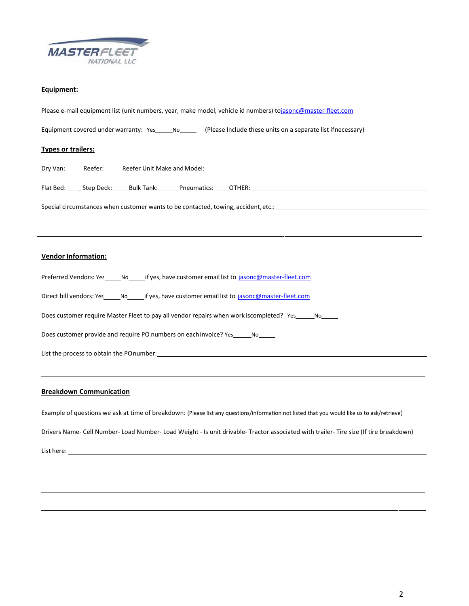

#### **Equipment:**

Please e‐mail equipment list (unit numbers, year, make model, vehicle id numbers) tojasonc@master‐fleet.com

Equipment covered under warranty: Yes \_\_\_\_\_ No \_\_\_\_\_\_\_ (Please Include these units on a separate list ifnecessary)

#### **Types or trailers:**

Dry Van: Reefer: Reefer Unit Make andModel:

Flat Bed: Step Deck: Bulk Tank: Pneumatics: OTHER: Natural Action Step Deck: Natural Action Step Deck: Product

Special circumstances when customer wants to be contacted, towing, accident, etc.: \_\_\_\_\_\_\_\_\_\_\_\_\_\_\_\_

#### **Vendor Information:**

| Preferred Vendors: Yes | <b>No</b> | if yes, have customer email list to jasonc@master-fleet.com |  |
|------------------------|-----------|-------------------------------------------------------------|--|
|------------------------|-----------|-------------------------------------------------------------|--|

| Direct bill vendors: Yes | N <sub>0</sub> |  |  | if yes, have customer email list to jasonc@master-fleet.com |
|--------------------------|----------------|--|--|-------------------------------------------------------------|
|--------------------------|----------------|--|--|-------------------------------------------------------------|

Does customer require Master Fleet to pay all vendor repairs when work iscompleted? Yes \_\_\_\_\_ No\_\_\_\_\_

Does customer provide and require PO numbers on each invoice? Yes \_\_\_\_\_\_ No\_\_\_\_\_

List the process to obtain the POnumber:

#### **Breakdown Communication**

Example of questions we ask at time of breakdown: (Please list any questions/information not listed that you would like us to ask/retrieve)

Drivers Name‐ Cell Number‐ Load Number‐ Load Weight ‐ Is unit drivable‐ Tractor associated with trailer‐ Tire size (If tire breakdown)

List here: \_\_\_\_\_\_\_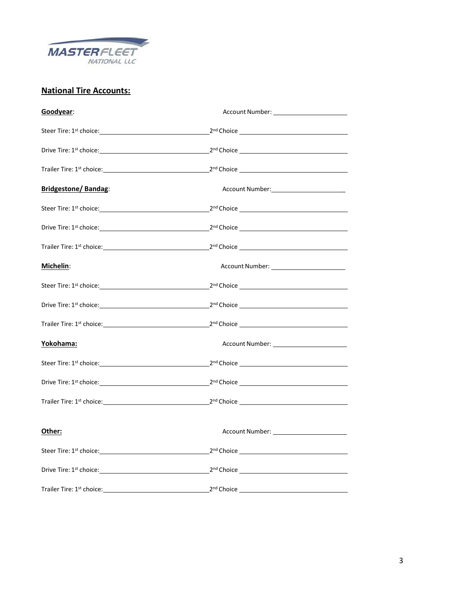

## **National Tire Accounts:**

| Goodyear:                                                                                                                                                                                                                                     |                                          |  |
|-----------------------------------------------------------------------------------------------------------------------------------------------------------------------------------------------------------------------------------------------|------------------------------------------|--|
| Steer Tire: 1st choice: 150 million control of the state of the state of the state of the state of the state o                                                                                                                                |                                          |  |
|                                                                                                                                                                                                                                               | 2 <sup>nd</sup> Choice <u>experience</u> |  |
|                                                                                                                                                                                                                                               |                                          |  |
| <b>Bridgestone/Bandag:</b>                                                                                                                                                                                                                    | Account Number: ________________________ |  |
|                                                                                                                                                                                                                                               |                                          |  |
| Drive Tire: 1 <sup>st</sup> choice: <u>contained</u> and contained a series of the contact of the contact of the contact of the contact of the contact of the contact of the contact of the contact of the contact of the contact of the cont | 2 <sup>nd</sup> Choice <u>experience</u> |  |
|                                                                                                                                                                                                                                               | 2 <sup>nd</sup> Choice <u>experience</u> |  |
| Michelin:                                                                                                                                                                                                                                     |                                          |  |
|                                                                                                                                                                                                                                               |                                          |  |
| Drive Tire: 1 <sup>st</sup> choice: Noted that the set of the set of the set of the set of the set of the set of the set of the set of the set of the set of the set of the set of the set of the set of the set of the set of the set o      |                                          |  |
|                                                                                                                                                                                                                                               |                                          |  |
| Yokohama:                                                                                                                                                                                                                                     |                                          |  |
| Steer Tire: 1 <sup>st</sup> choice: <u>contained</u> and contained a state of the state of the state of the state of the state of the state of the state of the state of the state of the state of the state of the state of the state of the |                                          |  |
|                                                                                                                                                                                                                                               |                                          |  |
|                                                                                                                                                                                                                                               |                                          |  |
| Other:                                                                                                                                                                                                                                        |                                          |  |
|                                                                                                                                                                                                                                               |                                          |  |
|                                                                                                                                                                                                                                               |                                          |  |
|                                                                                                                                                                                                                                               |                                          |  |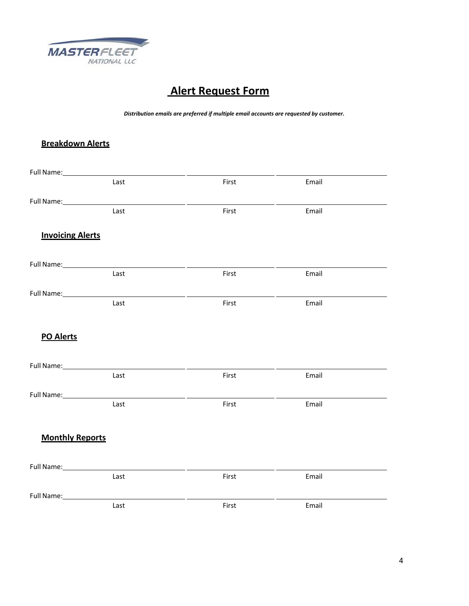

# **Alert Request Form**

*Distribution emails are preferred if multiple email accounts are requested by customer.*

## **Breakdown Alerts**

| Full Name: 1988                                                                                                                                                                                                                |       |       |  |
|--------------------------------------------------------------------------------------------------------------------------------------------------------------------------------------------------------------------------------|-------|-------|--|
| Last                                                                                                                                                                                                                           | First | Email |  |
| Full Name: 1988                                                                                                                                                                                                                |       |       |  |
| Last                                                                                                                                                                                                                           | First | Email |  |
| <b>Invoicing Alerts</b>                                                                                                                                                                                                        |       |       |  |
| Full Name: 1988 Contract Contract Contract Contract Contract Contract Contract Contract Contract Contract Contract Contract Contract Contract Contract Contract Contract Contract Contract Contract Contract Contract Contract |       |       |  |
| Last                                                                                                                                                                                                                           | First | Email |  |
| Full Name: 1999                                                                                                                                                                                                                |       |       |  |
| Last                                                                                                                                                                                                                           | First | Email |  |
| <b>PO Alerts</b>                                                                                                                                                                                                               |       |       |  |
| Full Name: Name<br><u> 1980 - Jan Barat, mars and participate</u>                                                                                                                                                              |       |       |  |
| Last                                                                                                                                                                                                                           | First | Email |  |
| Full Name:                                                                                                                                                                                                                     |       |       |  |
| Last                                                                                                                                                                                                                           | First | Email |  |
| <b>Monthly Reports</b>                                                                                                                                                                                                         |       |       |  |
| Full Name:                                                                                                                                                                                                                     |       |       |  |
| Last                                                                                                                                                                                                                           | First | Email |  |
| Full Name:                                                                                                                                                                                                                     |       |       |  |
| Last                                                                                                                                                                                                                           | First | Email |  |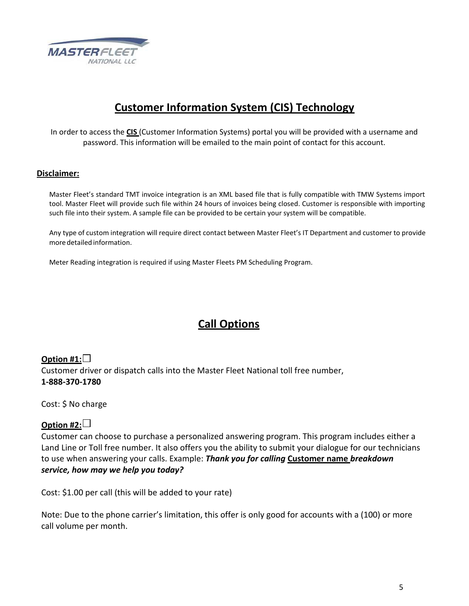

# **Customer Information System (CIS) Technology**

In order to access the **CIS** (Customer Information Systems) portal you will be provided with a username and password. This information will be emailed to the main point of contact for this account.

#### **Disclaimer:**

Master Fleet's standard TMT invoice integration is an XML based file that is fully compatible with TMW Systems import tool. Master Fleet will provide such file within 24 hours of invoices being closed. Customer is responsible with importing such file into their system. A sample file can be provided to be certain your system will be compatible.

Any type of custom integration will require direct contact between Master Fleet's IT Department and customer to provide moredetailedinformation.

Meter Reading integration is required if using Master Fleets PM Scheduling Program.

## **Call Options**

### **Option #1:**

Customer driver or dispatch calls into the Master Fleet National toll free number, **1‐888‐370‐1780**

Cost: \$ No charge

## **Option #2:**

Customer can choose to purchase a personalized answering program. This program includes either a Land Line or Toll free number. It also offers you the ability to submit your dialogue for our technicians to use when answering your calls. Example: *Thank you for calling* **Customer name** *breakdown service, how may we help you today?*

Cost: \$1.00 per call (this will be added to your rate)

Note: Due to the phone carrier's limitation, this offer is only good for accounts with a (100) or more call volume per month.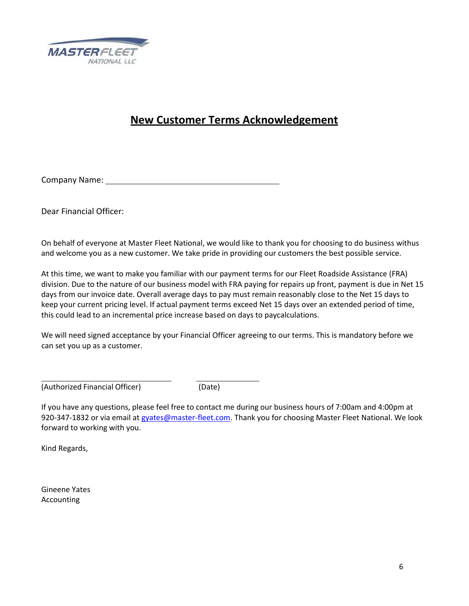

# **New Customer Terms Acknowledgement**

Company Name:

Dear Financial Officer:

On behalf of everyone at Master Fleet National, we would like to thank you for choosing to do business withus and welcome you as a new customer. We take pride in providing our customers the best possible service.

At this time, we want to make you familiar with our payment terms for our Fleet Roadside Assistance (FRA) division. Due to the nature of our business model with FRA paying for repairs up front, payment is due in Net 15 days from our invoice date. Overall average days to pay must remain reasonably close to the Net 15 days to keep your current pricing level. If actual payment terms exceed Net 15 days over an extended period of time, this could lead to an incremental price increase based on days to paycalculations.

We will need signed acceptance by your Financial Officer agreeing to our terms. This is mandatory before we can set you up as a customer.

(Authorized Financial Officer) (Date)

If you have any questions, please feel free to contact me during our business hours of 7:00am and 4:00pm at 920-347-1832 or via email at gyates@master-fleet.com. Thank you for choosing Master Fleet National. We look forward to working with you.

Kind Regards,

Gineene Yates Accounting